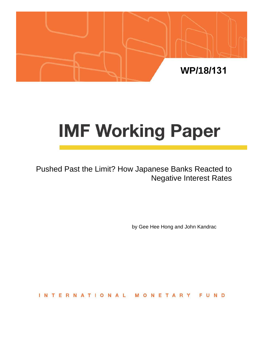

# **IMF Working Paper**

Pushed Past the Limit? How Japanese Banks Reacted to Negative Interest Rates

by Gee Hee Hong and John Kandrac

**INTERNATIONAL** FUND NETAR M  $\circ$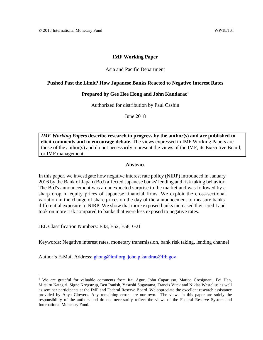## **IMF Working Paper**

## Asia and Pacific Department

## **Pushed Past the Limit? How Japanese Banks Reacted to Negative Interest Rates**

### **Prepared by Gee Hee Hong and John Kandarac[1](#page-1-0)**

Authorized for distribution by Paul Cashin

June 2018

*IMF Working Papers* **describe research in progress by the author(s) and are published to elicit comments and to encourage debate.** The views expressed in IMF Working Papers are those of the author(s) and do not necessarily represent the views of the IMF, its Executive Board, or IMF management.

## **Abstract**

In this paper, we investigate how negative interest rate policy (NIRP) introduced in January 2016 by the Bank of Japan (BoJ) affected Japanese banks' lending and risk taking behavior. The BoJ's announcement was an unexpected surprise to the market and was followed by a sharp drop in equity prices of Japanese financial firms. We exploit the cross-sectional variation in the change of share prices on the day of the announcement to measure banks' differential exposure to NIRP. We show that more exposed banks increased their credit and took on more risk compared to banks that were less exposed to negative rates.

JEL Classification Numbers: E43, E52, E58, G21

Keywords: Negative interest rates, monetary transmission, bank risk taking, lending channel

Author's E-Mail Address: [ghong@imf.org,](mailto:ghong@imf.org) [john.p.kandrac@frb.gov](mailto:john.p.kandrac@frb.gov)

<span id="page-1-0"></span><sup>&</sup>lt;sup>1</sup> We are grateful for valuable comments from Itai Agur, John Caparusso, Matteo Crosignani, Fei Han, Mitsuru Katagiri, Signe Krogstrup, Ben Ranish, Yasushi Sugayama, Francis Vitek and Niklas Westelius as well as seminar participants at the IMF and Federal Reserve Board. We appreciate the excellent research assistance provided by Anya Clowers. Any remaining errors are our own. The views in this paper are solely the responsibility of the authors and do not necessarily reflect the views of the Federal Reserve System and International Monetary Fund.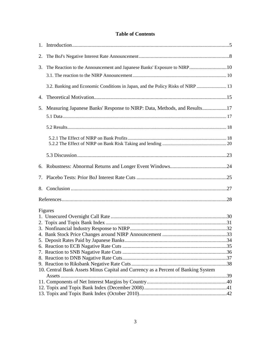## **Table of Contents**

| 2. |                                                                                   |  |
|----|-----------------------------------------------------------------------------------|--|
| 3. | The Reaction to the Announcement and Japanese Banks' Exposure to NIRP10           |  |
|    |                                                                                   |  |
|    |                                                                                   |  |
|    | 3.2. Banking and Economic Conditions in Japan, and the Policy Risks of NIRP  13   |  |
| 4. |                                                                                   |  |
| 5. | Measuring Japanese Banks' Response to NIRP: Data, Methods, and Results17          |  |
|    |                                                                                   |  |
|    |                                                                                   |  |
|    |                                                                                   |  |
|    |                                                                                   |  |
|    |                                                                                   |  |
|    |                                                                                   |  |
|    |                                                                                   |  |
|    |                                                                                   |  |
|    |                                                                                   |  |
|    |                                                                                   |  |
|    | Figures                                                                           |  |
|    |                                                                                   |  |
|    |                                                                                   |  |
|    |                                                                                   |  |
|    |                                                                                   |  |
|    |                                                                                   |  |
|    |                                                                                   |  |
|    |                                                                                   |  |
|    |                                                                                   |  |
|    |                                                                                   |  |
|    | 10. Central Bank Assets Minus Capital and Currency as a Percent of Banking System |  |
|    |                                                                                   |  |
|    |                                                                                   |  |
|    |                                                                                   |  |
|    |                                                                                   |  |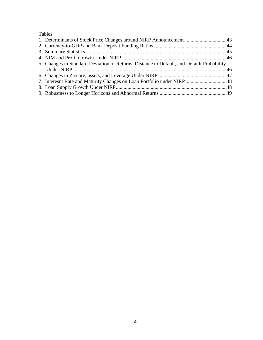# Tables

| 5. Changes in Standard Deviation of Returns, Distance to Default, and Default Probability |  |
|-------------------------------------------------------------------------------------------|--|
|                                                                                           |  |
|                                                                                           |  |
|                                                                                           |  |
|                                                                                           |  |
|                                                                                           |  |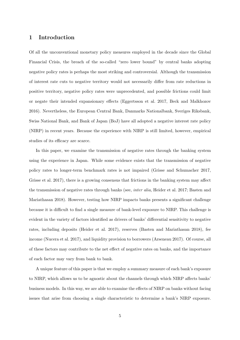## 1 Introduction

Of all the unconventional monetary policy measures employed in the decade since the Global Financial Crisis, the breach of the so-called "zero lower bound" by central banks adopting negative policy rates is perhaps the most striking and controversial. Although the transmission of interest rate cuts to negative territory would not necessarily differ from rate reductions in positive territory, negative policy rates were unprecedented, and possible frictions could limit or negate their intended expansionary effects (Eggertsson et al. 2017, Beck and Malkhozov 2016). Nevertheless, the European Central Bank, Danmarks Nationalbank, Sveriges Riksbank, Swiss National Bank, and Bank of Japan (BoJ) have all adopted a negative interest rate policy (NIRP) in recent years. Because the experience with NIRP is still limited, however, empirical studies of its efficacy are scarce.

In this paper, we examine the transmission of negative rates through the banking system using the experience in Japan. While some evidence exists that the transmission of negative policy rates to longer-term benchmark rates is not impaired (Grisse and Schumacher 2017, Grisse et al. 2017), there is a growing consensus that frictions in the banking system may affect the transmission of negative rates through banks (see, inter alia, Heider et al. 2017; Basten and Mariathasan 2018). However, testing how NIRP impacts banks presents a significant challenge because it is difficult to find a single measure of bank-level exposure to NIRP. This challenge is evident in the variety of factors identified as drivers of banks' differential sensitivity to negative rates, including deposits (Heider et al. 2017), reserves (Basten and Mariathasan 2018), fee income (Nucera et al. 2017), and liquidity provision to borrowers (Arseneau 2017). Of course, all of these factors may contribute to the net effect of negative rates on banks, and the importance of each factor may vary from bank to bank.

A unique feature of this paper is that we employ a summary measure of each bank's exposure to NIRP, which allows us to be agnostic about the channels through which NIRP affects banks' business models. In this way, we are able to examine the effects of NIRP on banks without facing issues that arise from choosing a single characteristic to determine a bank's NIRP exposure.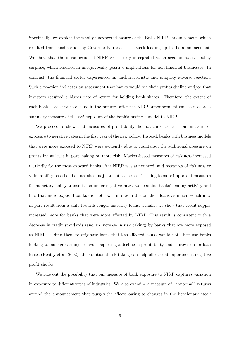Specifically, we exploit the wholly unexpected nature of the BoJ's NIRP announcement, which resulted from misdirection by Governor Kuroda in the week leading up to the announcement. We show that the introduction of NIRP was clearly interpreted as an accommodative policy surprise, which resulted in unequivocally positive implications for non-financial businesses. In contrast, the financial sector experienced an uncharacteristic and uniquely adverse reaction. Such a reaction indicates an assessment that banks would see their profits decline and/or that investors required a higher rate of return for holding bank shares. Therefore, the extent of each bank's stock price decline in the minutes after the NIRP announcement can be used as a summary measure of the net exposure of the bank's business model to NIRP.

We proceed to show that measures of profitability did not correlate with our measure of exposure to negative rates in the first year of the new policy. Instead, banks with business models that were more exposed to NIRP were evidently able to counteract the additional pressure on profits by, at least in part, taking on more risk. Market-based measures of riskiness increased markedly for the most exposed banks after NIRP was announced, and measures of riskiness or vulnerability based on balance sheet adjustments also rose. Turning to more important measures for monetary policy transmission under negative rates, we examine banks' lending activity and find that more exposed banks did not lower interest rates on their loans as much, which may in part result from a shift towards longer-maturity loans. Finally, we show that credit supply increased more for banks that were more affected by NIRP. This result is consistent with a decrease in credit standards (and an increase in risk taking) by banks that are more exposed to NIRP, leading them to originate loans that less affected banks would not. Because banks looking to manage earnings to avoid reporting a decline in profitability under-provision for loan losses (Beatty et al. 2002), the additional risk taking can help offset contemporaneous negative profit shocks.

We rule out the possibility that our measure of bank exposure to NIRP captures variation in exposure to different types of industries. We also examine a measure of "abnormal" returns around the announcement that purges the effects owing to changes in the benchmark stock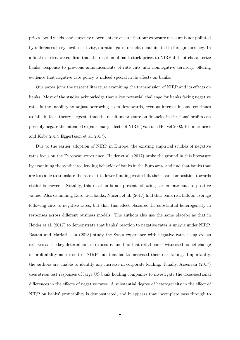prices, bond yields, and currency movements to ensure that our exposure measure is not polluted by differences in cyclical sensitivity, duration gaps, or debt denominated in foreign currency. In a final exercise, we confirm that the reaction of bank stock prices to NIRP did not characterize banks' response to previous announcements of rate cuts into nonnegative territory, offering evidence that negative rate policy is indeed special in its effects on banks.

Our paper joins the nascent literature examining the transmission of NIRP and its effects on banks. Most of the studies acknowledge that a key potential challenge for banks facing negative rates is the inability to adjust borrowing costs downwards, even as interest income continues to fall. In fact, theory suggests that the resultant pressure on financial institutions' profits can possibly negate the intended expansionary effects of NIRP (Van den Heuvel 2002; Brunnermeier and Koby 2017; Eggertsson et al. 2017).

Due to the earlier adoption of NIRP in Europe, the existing empirical studies of negative rates focus on the European experience. Heider et al. (2017) broke the ground in this literature by examining the syndicated lending behavior of banks in the Euro area, and find that banks that are less able to translate the rate cut to lower funding costs shift their loan composition towards riskier borrowers. Notably, this reaction is not present following earlier rate cuts to positive values. Also examining Euro area banks, Nucera et al. (2017) find that bank risk falls on average following cuts to negative rates, but that this effect obscures the substantial heterogeneity in responses across different business models. The authors also use the same placebo as that in Heider et al. (2017) to demonstrate that banks' reaction to negative rates is unique under NIRP. Basten and Mariathasan (2018) study the Swiss experience with negative rates using excess reserves as the key determinant of exposure, and find that retail banks witnessed no net change in profitability as a result of NIRP, but that banks increased their risk taking. Importantly, the authors are unable to identify any increase in corporate lending. Finally, Arseneau (2017) uses stress test responses of large US bank holding companies to investigate the cross-sectional differences in the effects of negative rates. A substantial degree of heterogeneity in the effect of NIRP on banks' profitability is demonstrated, and it appears that incomplete pass through to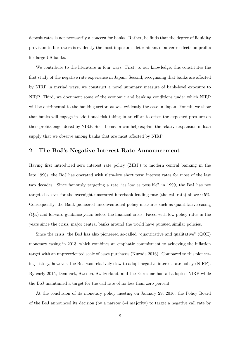deposit rates is not necessarily a concern for banks. Rather, he finds that the degree of liquidity provision to borrowers is evidently the most important determinant of adverse effects on profits for large US banks.

We contribute to the literature in four ways. First, to our knowledge, this constitutes the first study of the negative rate experience in Japan. Second, recognizing that banks are affected by NIRP in myriad ways, we construct a novel summary measure of bank-level exposure to NIRP. Third, we document some of the economic and banking conditions under which NIRP will be detrimental to the banking sector, as was evidently the case in Japan. Fourth, we show that banks will engage in additional risk taking in an effort to offset the expected pressure on their profits engendered by NIRP. Such behavior can help explain the relative expansion in loan supply that we observe among banks that are most affected by NIRP.

## 2 The BoJ's Negative Interest Rate Announcement

Having first introduced zero interest rate policy (ZIRP) to modern central banking in the late 1990s, the BoJ has operated with ultra-low short term interest rates for most of the last two decades. Since famously targeting a rate "as low as possible" in 1999, the BoJ has not targeted a level for the overnight unsecured interbank lending rate (the call rate) above 0.5%. Consequently, the Bank pioneered unconventional policy measures such as quantitative easing (QE) and forward guidance years before the financial crisis. Faced with low policy rates in the years since the crisis, major central banks around the world have pursued similar policies.

Since the crisis, the BoJ has also pioneered so-called "quantitative and qualitative" (QQE) monetary easing in 2013, which combines an emphatic commitment to achieving the inflation target with an unprecedented scale of asset purchases (Kuroda 2016). Compared to this pioneering history, however, the BoJ was relatively slow to adopt negative interest rate policy (NIRP). By early 2015, Denmark, Sweden, Switzerland, and the Eurozone had all adopted NIRP while the BoJ maintained a target for the call rate of no less than zero percent.

At the conclusion of its monetary policy meeting on January 29, 2016, the Policy Board of the BoJ announced its decision (by a narrow 5-4 majority) to target a negative call rate by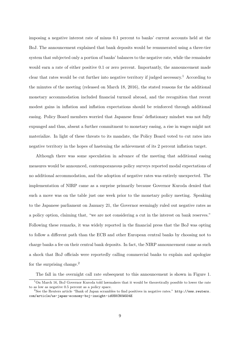imposing a negative interest rate of minus 0.1 percent to banks' current accounts held at the BoJ. The announcement explained that bank deposits would be remunerated using a three-tier system that subjected only a portion of banks' balances to the negative rate, while the remainder would earn a rate of either positive 0.1 or zero percent. Importantly, the announcement made clear that rates would be cut further into negative territory if judged necessary.<sup>1</sup> According to the minutes of the meeting (released on March 18, 2016), the stated reasons for the additional monetary accommodation included financial turmoil abroad, and the recognition that recent modest gains in inflation and inflation expectations should be reinforced through additional easing. Policy Board members worried that Japanese firms' deflationary mindset was not fully expunged and thus, absent a further commitment to monetary easing, a rise in wages might not materialize. In light of these threats to its mandate, the Policy Board voted to cut rates into negative territory in the hopes of hastening the achievement of its 2 percent inflation target.

Although there was some speculation in advance of the meeting that additional easing measures would be announced, contemporaneous policy surveys reported modal expectations of no additional accommodation, and the adoption of negative rates was entirely unexpected. The implementation of NIRP came as a surprise primarily because Governor Kuroda denied that such a move was on the table just one week prior to the monetary policy meeting. Speaking to the Japanese parliament on January 21, the Governor seemingly ruled out negative rates as a policy option, claiming that, "we are not considering a cut in the interest on bank reserves." Following these remarks, it was widely reported in the financial press that the BoJ was opting to follow a different path than the ECB and other European central banks by choosing not to charge banks a fee on their central bank deposits. In fact, the NIRP announcement came as such a shock that BoJ officials were reportedly calling commercial banks to explain and apologize for the surprising change.<sup>2</sup>

The fall in the overnight call rate subsequent to this announcement is shown in Figure 1.

<sup>&</sup>lt;sup>1</sup>On March 16, BoJ Governor Kuroda told lawmakers that it would be theoretically possible to lower the rate to as low as negative 0.5 percent as a policy space.

<sup>2</sup>See the Reuters article "Bank of Japan scrambles to find positives in negative rates." http://www.reuters. com/article/us-japan-economy-boj-insight-idUSKCN0WG04E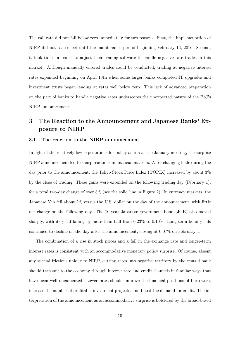The call rate did not fall below zero immediately for two reasons. First, the implementation of NIRP did not take effect until the maintenance period beginning February 16, 2016. Second, it took time for banks to adjust their trading software to handle negative rate trades in this market. Although manually entered trades could be conducted, trading at negative interest rates expanded beginning on April 18th when some larger banks completed IT upgrades and investment trusts began lending at rates well below zero. This lack of advanced preparation on the part of banks to handle negative rates underscores the unexpected nature of the BoJ's NIRP announcement.

# 3 The Reaction to the Announcement and Japanese Banks' Exposure to NIRP

#### 3.1 The reaction to the NIRP announcement

In light of the relatively low expectations for policy action at the January meeting, the surprise NIRP announcement led to sharp reactions in financial markets. After changing little during the day prior to the announcement, the Tokyo Stock Price Index (TOPIX) increased by about 3% by the close of trading. These gains were extended on the following trading day (February 1), for a total two-day change of over 5% (see the solid line in Figure 2). In currency markets, the Japanese Yen fell about 2% versus the U.S. dollar on the day of the announcement, with little net change on the following day. The 10-year Japanese government bond (JGB) also moved sharply, with its yield falling by more than half from 0.23% to 0.10%. Long-term bond yields continued to decline on the day after the announcement, closing at 0.07% on February 1.

The combination of a rise in stock prices and a fall in the exchange rate and longer-term interest rates is consistent with an accommodative monetary policy surprise. Of course, absent any special frictions unique to NIRP, cutting rates into negative territory by the central bank should transmit to the economy through interest rate and credit channels in familiar ways that have been well documented. Lower rates should improve the financial positions of borrowers, increase the number of profitable investment projects, and boost the demand for credit. The interpretation of the announcement as an accommodative surprise is bolstered by the broad-based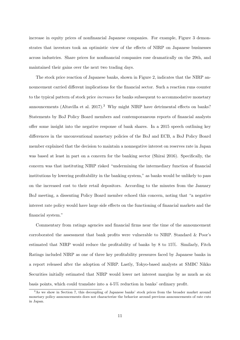increase in equity prices of nonfinancial Japanese companies. For example, Figure 3 demonstrates that investors took an optimistic view of the effects of NIRP on Japanese businesses across industries. Share prices for nonfinancial companies rose dramatically on the 29th, and maintained their gains over the next two trading days.

The stock price reaction of Japanese banks, shown in Figure 2, indicates that the NIRP announcement carried different implications for the financial sector. Such a reaction runs counter to the typical pattern of stock price increases for banks subsequent to accommodative monetary announcements (Altavilla et al. 2017).<sup>3</sup> Why might NIRP have detrimental effects on banks? Statements by BoJ Policy Board members and contemporaneous reports of financial analysts offer some insight into the negative response of bank shares. In a 2015 speech outlining key differences in the unconventional monetary policies of the BoJ and ECB, a BoJ Policy Board member explained that the decision to maintain a nonnegative interest on reserves rate in Japan was based at least in part on a concern for the banking sector (Shirai 2016). Specifically, the concern was that instituting NIRP risked "undermining the intermediary function of financial institutions by lowering profitability in the banking system," as banks would be unlikely to pass on the increased cost to their retail depositors. According to the minutes from the January BoJ meeting, a dissenting Policy Board member echoed this concern, noting that "a negative interest rate policy would have large side effects on the functioning of financial markets and the financial system."

Commentary from ratings agencies and financial firms near the time of the announcement corroborated the assessment that bank profits were vulnerable to NIRP. Standard & Poor's estimated that NIRP would reduce the profitability of banks by 8 to 15%. Similarly, Fitch Ratings included NIRP as one of three key profitability pressures faced by Japanese banks in a report released after the adoption of NIRP. Lastly, Tokyo-based analysts at SMBC Nikko Securities initially estimated that NIRP would lower net interest margins by as much as six basis points, which could translate into a 4-5% reduction in banks' ordinary profit.

<sup>3</sup>As we show in Section 7, this decoupling of Japanese banks' stock prices from the broader market around monetary policy announcements does not characterize the behavior around previous announcements of rate cuts in Japan.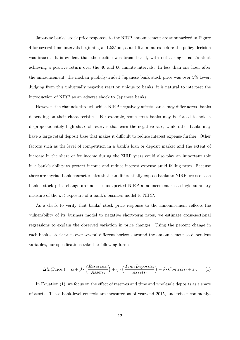Japanese banks' stock price responses to the NIRP announcement are summarized in Figure 4 for several time intervals beginning at 12:35pm, about five minutes before the policy decision was issued. It is evident that the decline was broad-based, with not a single bank's stock achieving a positive return over the 40 and 60 minute intervals. In less than one hour after the announcement, the median publicly-traded Japanese bank stock price was over 5% lower. Judging from this universally negative reaction unique to banks, it is natural to interpret the introduction of NIRP as an adverse shock to Japanese banks.

However, the channels through which NIRP negatively affects banks may differ across banks depending on their characteristics. For example, some trust banks may be forced to hold a disproportionately high share of reserves that earn the negative rate, while other banks may have a large retail deposit base that makes it difficult to reduce interest expense further. Other factors such as the level of competition in a bank's loan or deposit market and the extent of increase in the share of fee income during the ZIRP years could also play an important role in a bank's ability to protect income and reduce interest expense amid falling rates. Because there are myriad bank characteristics that can differentially expose banks to NIRP, we use each bank's stock price change around the unexpected NIRP announcement as a single summary measure of the net exposure of a bank's business model to NIRP.

As a check to verify that banks' stock price response to the announcement reflects the vulnerability of its business model to negative short-term rates, we estimate cross-sectional regressions to explain the observed variation in price changes. Using the percent change in each bank's stock price over several different horizons around the announcement as dependent variables, our specifications take the following form:

$$
\Delta ln(\text{Price}_i) = \alpha + \beta \cdot \left(\frac{Reserves_i}{Assets_i}\right) + \gamma \cdot \left(\frac{TimeDeposits_i}{Assets_i}\right) + \delta \cdot Controls_i + \varepsilon_i. \tag{1}
$$

In Equation (1), we focus on the effect of reserves and time and wholesale deposits as a share of assets. These bank-level controls are measured as of year-end 2015, and reflect commonly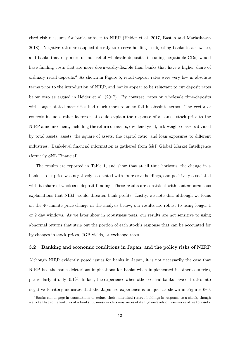cited risk measures for banks subject to NIRP (Heider et al. 2017, Basten and Mariathasan 2018). Negative rates are applied directly to reserve holdings, subjecting banks to a new fee, and banks that rely more on non-retail wholesale deposits (including negotiable CDs) would have funding costs that are more downwardly-flexible than banks that have a higher share of ordinary retail deposits.<sup>4</sup> As shown in Figure 5, retail deposit rates were very low in absolute terms prior to the introduction of NIRP, and banks appear to be reluctant to cut deposit rates below zero as argued in Heider et al. (2017). By contrast, rates on wholesale time-deposits with longer stated maturities had much more room to fall in absolute terms. The vector of controls includes other factors that could explain the response of a banks' stock price to the NIRP announcement, including the return on assets, dividend yield, risk-weighted assets divided by total assets, assets, the square of assets, the capital ratio, and loan exposures to different industries. Bank-level financial information is gathered from S&P Global Market Intelligence (formerly SNL Financial).

The results are reported in Table 1, and show that at all time horizons, the change in a bank's stock price was negatively associated with its reserve holdings, and positively associated with its share of wholesale deposit funding. These results are consistent with contemporaneous explanations that NIRP would threaten bank profits. Lastly, we note that although we focus on the 40 minute price change in the analysis below, our results are robust to using longer 1 or 2 day windows. As we later show in robustness tests, our results are not sensitive to using abnormal returns that strip out the portion of each stock's response that can be accounted for by changes in stock prices, JGB yields, or exchange rates.

#### 3.2 Banking and economic conditions in Japan, and the policy risks of NIRP

Although NIRP evidently posed issues for banks in Japan, it is not necessarily the case that NIRP has the same deleterious implications for banks when implemented in other countries, particularly at only -0.1%. In fact, the experience when other central banks have cut rates into negative territory indicates that the Japanese experience is unique, as shown in Figures 6–9.

<sup>&</sup>lt;sup>4</sup>Banks can engage in transactions to reduce their individual reserve holdings in response to a shock, though we note that some features of a banks' business models may necessitate higher-levels of reserves relative to assets.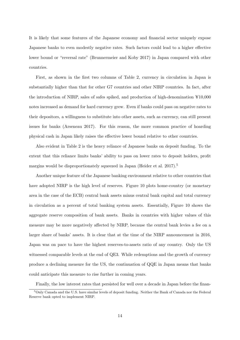It is likely that some features of the Japanese economy and financial sector uniquely expose Japanese banks to even modestly negative rates. Such factors could lead to a higher effective lower bound or "reversal rate" (Brunnermeier and Koby 2017) in Japan compared with other countries.

First, as shown in the first two columns of Table 2, currency in circulation in Japan is substantially higher than that for other G7 countries and other NIRP countries. In fact, after the introduction of NIRP, sales of safes spiked, and production of high-denomination  $\text{\yen}10,000$ notes increased as demand for hard currency grew. Even if banks could pass on negative rates to their depositors, a willingness to substitute into other assets, such as currency, can still present issues for banks (Arseneau 2017). For this reason, the more common practice of hoarding physical cash in Japan likely raises the effective lower bound relative to other countries.

Also evident in Table 2 is the heavy reliance of Japanese banks on deposit funding. To the extent that this reliance limits banks' ability to pass on lower rates to deposit holders, profit margins would be disproportionately squeezed in Japan (Heider et al. 2017).<sup>5</sup>

Another unique feature of the Japanese banking environment relative to other countries that have adopted NIRP is the high level of reserves. Figure 10 plots home-country (or monetary area in the case of the ECB) central bank assets minus central bank capital and total currency in circulation as a percent of total banking system assets. Essentially, Figure 10 shows the aggregate reserve composition of bank assets. Banks in countries with higher values of this measure may be more negatively affected by NIRP, because the central bank levies a fee on a larger share of banks' assets. It is clear that at the time of the NIRP announcement in 2016, Japan was on pace to have the highest reserves-to-assets ratio of any country. Only the US witnessed comparable levels at the end of QE3. While redemptions and the growth of currency produce a declining measure for the US, the continuation of QQE in Japan means that banks could anticipate this measure to rise further in coming years.

Finally, the low interest rates that persisted for well over a decade in Japan before the finan-

<sup>&</sup>lt;sup>5</sup>Only Canada and the U.S. have similar levels of deposit funding. Neither the Bank of Canada nor the Federal Reserve bank opted to implement NIRP.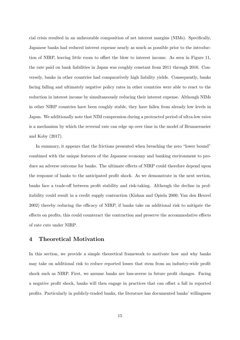cial crisis resulted in an unfavorable composition of net interest margins (NIMs). Specifically, Japanese banks had reduced interest expense nearly as much as possible prior to the introduction of NIRP, leaving little room to offset the blow to interest income. As seen in Figure 11, the rate paid on bank liabilities in Japan was roughly constant from 2011 through 2016. Conversely, banks in other countries had comparatively high liability yields. Consequently, banks facing falling and ultimately negative policy rates in other countries were able to react to the reduction in interest income by simultaneously reducing their interest expense. Although NIMs in other NIRP countries have been roughly stable, they have fallen from already low levels in Japan. We additionally note that NIM compression during a protracted period of ultra-low rates is a mechanism by which the reversal rate can edge up over time in the model of Brunnermeier and Koby (2017).

In summary, it appears that the frictions presented when breaching the zero "lower bound" combined with the unique features of the Japanese economy and banking environment to produce an adverse outcome for banks. The ultimate effects of NIRP could therefore depend upon the response of banks to the anticipated profit shock. As we demonstrate in the next section, banks face a trade-off between profit stability and risk-taking. Although the decline in profitability could result in a credit supply contraction (Kishan and Opiela 2000; Van den Heuvel 2002) thereby reducing the efficacy of NIRP, if banks take on additional risk to mitigate the effects on profits, this could counteract the contraction and preserve the accommodative effects of rate cuts under NIRP.

## 4 Theoretical Motivation

In this section, we provide a simple theoretical framework to motivate how and why banks may take on additional risk to reduce reported losses that stem from an industry-wide profit shock such as NIRP. First, we assume banks are loss-averse in future profit changes. Facing a negative profit shock, banks will then engage in practices that can offset a fall in reported profits. Particularly in publicly-traded banks, the literature has documented banks' willingness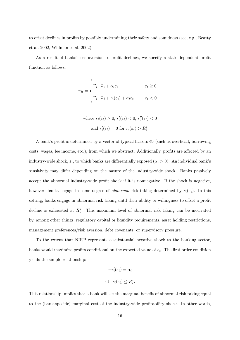to offset declines in profits by possibly undermining their safety and soundness (see, e.g., Beatty et al. 2002, Willman et al. 2002).

As a result of banks' loss aversion to profit declines, we specify a state-dependent profit function as follows:

$$
\pi_{it} = \begin{cases}\n\Gamma_i \cdot \Phi_i + \alpha_i \varepsilon_t & \varepsilon_t \ge 0 \\
\Gamma_i \cdot \Phi_i + r_i(\varepsilon_t) + \alpha_i \varepsilon_t & \varepsilon_t < 0\n\end{cases}
$$

where  $r_i(\varepsilon_t) \geq 0$ ;  $r'_i(\varepsilon_t) < 0$ ;  $r''_i(\varepsilon_t) < 0$ and  $r'_i(\varepsilon_t) = 0$  for  $r_i(\varepsilon_t) > R_i^*$ .

A bank's profit is determined by a vector of typical factors  $\Phi_i$  (such as overhead, borrowing costs, wages, fee income, etc.), from which we abstract. Additionally, profits are affected by an industry-wide shock,  $\varepsilon_t$ , to which banks are differentially exposed  $(\alpha_i > 0)$ . An individual bank's sensitivity may differ depending on the nature of the industry-wide shock. Banks passively accept the abnormal industry-wide profit shock if it is nonnegative. If the shock is negative, however, banks engage in some degree of *abnormal* risk-taking determined by  $r_i(\varepsilon_t)$ . In this setting, banks engage in abnormal risk taking until their ability or willingness to offset a profit decline is exhausted at  $R_i^*$ . This maximum level of abnormal risk taking can be motivated by, among other things, regulatory capital or liquidity requirements, asset holding restrictions, management preferences/risk aversion, debt covenants, or supervisory pressure.

To the extent that NIRP represents a substantial negative shock to the banking sector, banks would maximize profits conditional on the expected value of  $\varepsilon_t$ . The first order condition yields the simple relationship:

$$
-r'_i(\varepsilon_t) = \alpha_i
$$
  
s.t.  $r_i(\varepsilon_t) \le R_i^*$ .

This relationship implies that a bank will set the marginal benefit of abnormal risk taking equal to the (bank-specific) marginal cost of the industry-wide profitability shock. In other words,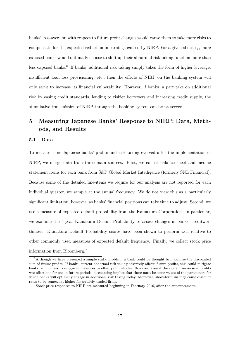banks' loss-aversion with respect to future profit changes would cause them to take more risks to compensate for the expected reduction in earnings caused by NIRP. For a given shock  $\varepsilon_t$ , more exposed banks would optimally choose to shift up their abnormal risk taking function more than less exposed banks.<sup>6</sup> If banks' additional risk taking simply takes the form of higher leverage, insufficient loan loss provisioning, etc., then the effects of NIRP on the banking system will only serve to increase its financial vulnerability. However, if banks in part take on additional risk by easing credit standards, lending to riskier borrowers and increasing credit supply, the stimulative transmission of NIRP through the banking system can be preserved.

# 5 Measuring Japanese Banks' Response to NIRP: Data, Methods, and Results

#### 5.1 Data

To measure how Japanese banks' profits and risk taking evolved after the implementation of NIRP, we merge data from three main sources. First, we collect balance sheet and income statement items for each bank from S&P Global Market Intelligence (formerly SNL Financial). Because some of the detailed line-items we require for our analysis are not reported for each individual quarter, we sample at the annual frequency. We do not view this as a particularly significant limitation, however, as banks' financial positions can take time to adjust. Second, we use a measure of expected default probability from the Kamakura Corporation. In particular, we examine the 5-year Kamakura Default Probability to assess changes in banks' creditworthiness. Kamakura Default Probability scores have been shown to perform well relative to other commonly used measures of expected default frequency. Finally, we collect stock price information from Bloomberg.<sup>7</sup>

<sup>6</sup>Although we have presented a simple static problem, a bank could be thought to maximize the discounted sum of future profits. If banks' current abnormal risk taking adversely affects future profits, this could mitigate banks' willingness to engage in measures to offset profit shocks. However, even if the current increase in profits was offset one for one in future periods, discounting implies that there must be some values of the parameters for which banks will optimally engage in additional risk taking today. Moreover, short-termism may cause discount rates to be somewhat higher for publicly traded firms.

<sup>&</sup>lt;sup>7</sup>Stock price responses to NIRP are measured beginning in February 2016, after the announcement.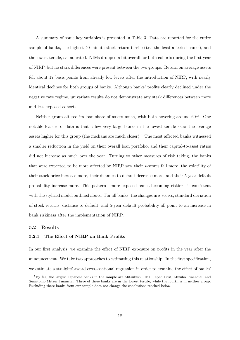A summary of some key variables is presented in Table 3. Data are reported for the entire sample of banks, the highest 40-minute stock return tercile (i.e., the least affected banks), and the lowest tercile, as indicated. NIMs dropped a bit overall for both cohorts during the first year of NIRP, but no stark differences were present between the two groups. Return on average assets fell about 17 basis points from already low levels after the introduction of NIRP, with nearly identical declines for both groups of banks. Although banks' profits clearly declined under the negative rate regime, univariate results do not demonstrate any stark differences between more and less exposed cohorts.

Neither group altered its loan share of assets much, with both hovering around 60%. One notable feature of data is that a few very large banks in the lowest tercile skew the average assets higher for this group (the medians are much closer).<sup>8</sup> The most affected banks witnessed a smaller reduction in the yield on their overall loan portfolio, and their capital-to-asset ratios did not increase as much over the year. Turning to other measures of risk taking, the banks that were expected to be more affected by NIRP saw their z-scores fall more, the volatility of their stock price increase more, their distance to default decrease more, and their 5-year default probability increase more. This pattern—more exposed banks becoming riskier—is consistent with the stylized model outlined above. For all banks, the changes in z-scores, standard deviation of stock returns, distance to default, and 5-year default probability all point to an increase in bank riskiness after the implementation of NIRP.

#### 5.2 Results

#### 5.2.1 The Effect of NIRP on Bank Profits

In our first analysis, we examine the effect of NIRP exposure on profits in the year after the announcement. We take two approaches to estimating this relationship. In the first specification, we estimate a straightforward cross-sectional regression in order to examine the effect of banks'

<sup>8</sup>By far, the largest Japanese banks in the sample are Mitsubishi UFJ, Japan Post, Mizuho Financial, and Sumitomo Mitsui Financial. Three of these banks are in the lowest tercile, while the fourth is in neither group. Excluding these banks from our sample does not change the conclusions reached below.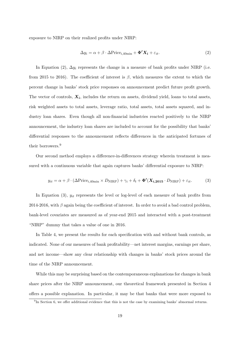exposure to NIRP on their realized profits under NIRP:

$$
\Delta y_i = \alpha + \beta \cdot \Delta \text{Price}_{i,40\text{min}} + \Phi' X_i + \varepsilon_{it}.
$$
\n(2)

In Equation (2),  $\Delta y_i$  represents the change in a measure of bank profits under NIRP (i.e. from 2015 to 2016). The coefficient of interest is  $\beta$ , which measures the extent to which the percent change in banks' stock price responses on announcement predict future profit growth. The vector of controls,  $\mathbf{X}_i$ , includes the return on assets, dividend yield, loans to total assets, risk weighted assets to total assets, leverage ratio, total assets, total assets squared, and industry loan shares. Even though all non-financial industries reacted positively to the NIRP announcement, the industry loan shares are included to account for the possibility that banks' differential responses to the announcement reflects differences in the anticipated fortunes of their borrowers.<sup>9</sup>

Our second method employs a difference-in-differences strategy wherein treatment is measured with a continuous variable that again captures banks' differential exposure to NIRP:

$$
y_{it} = \alpha + \beta \cdot (\Delta \text{Price}_{i,40\text{min}} \times D_{\text{NIRP}}) + \gamma_i + \delta_t + \Phi'(\mathbf{X}_{i,2015} \cdot D_{\text{NIRP}}) + \varepsilon_{it}.
$$
 (3)

In Equation (3),  $y_{it}$  represents the level or log-level of each measure of bank profits from 2014-2016, with  $\beta$  again being the coefficient of interest. In order to avoid a bad control problem, bank-level covariates are measured as of year-end 2015 and interacted with a post-treatment "NIRP" dummy that takes a value of one in 2016.

In Table 4, we present the results for each specification with and without bank controls, as indicated. None of our measures of bank profitability—net interest margins, earnings per share, and net income—show any clear relationship with changes in banks' stock prices around the time of the NIRP announcement.

While this may be surprising based on the contemporaneous explanations for changes in bank share prices after the NIRP announcement, our theoretical framework presented in Section 4 offers a possible explanation. In particular, it may be that banks that were more exposed to

<sup>&</sup>lt;sup>9</sup>In Section 6, we offer additional evidence that this is not the case by examining banks' abnormal returns.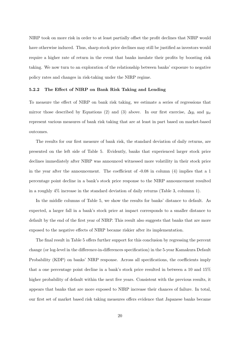NIRP took on more risk in order to at least partially offset the profit declines that NIRP would have otherwise induced. Thus, sharp stock price declines may still be justified as investors would require a higher rate of return in the event that banks insulate their profits by boosting risk taking. We now turn to an exploration of the relationship between banks' exposure to negative policy rates and changes in risk-taking under the NIRP regime.

#### 5.2.2 The Effect of NIRP on Bank Risk Taking and Lending

To measure the effect of NIRP on bank risk taking, we estimate a series of regressions that mirror those described by Equations (2) and (3) above. In our first exercise,  $\Delta y_i$  and  $y_{it}$ represent various measures of bank risk taking that are at least in part based on market-based outcomes.

The results for our first measure of bank risk, the standard deviation of daily returns, are presented on the left side of Table 5. Evidently, banks that experienced larger stock price declines immediately after NIRP was announced witnessed more volatility in their stock price in the year after the announcement. The coefficient of -0.08 in column (4) implies that a 1 percentage point decline in a bank's stock price response to the NIRP announcement resulted in a roughly 4% increase in the standard deviation of daily returns (Table 3, columnn 1).

In the middle columns of Table 5, we show the results for banks' distance to default. As expected, a larger fall in a bank's stock price at impact corresponds to a smaller distance to default by the end of the first year of NIRP. This result also suggests that banks that are more exposed to the negative effects of NIRP became riskier after its implementation.

The final result in Table 5 offers further support for this conclusion by regressing the percent change (or log-level in the difference-in-differences specification) in the 5-year Kamakura Default Probability (KDP) on banks' NIRP response. Across all specifications, the coefficients imply that a one percentage point decline in a bank's stock price resulted in between a 10 and 15% higher probability of default within the next five years. Consistent with the previous results, it appears that banks that are more exposed to NIRP increase their chances of failure. In total, our first set of market based risk taking measures offers evidence that Japanese banks became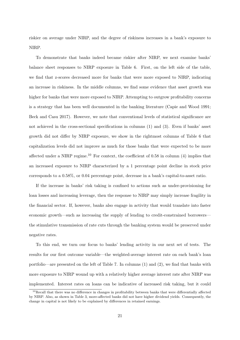riskier on average under NIRP, and the degree of riskiness increases in a bank's exposure to NIRP.

To demonstrate that banks indeed became riskier after NIRP, we next examine banks' balance sheet responses to NIRP exposure in Table 6. First, on the left side of the table, we find that z-scores decreased more for banks that were more exposed to NIRP, indicating an increase in riskiness. In the middle columns, we find some evidence that asset growth was higher for banks that were more exposed to NIRP. Attempting to outgrow profitability concerns is a strategy that has been well documented in the banking literature (Capie and Wood 1991; Beck and Casu 2017). However, we note that conventional levels of statistical significance are not achieved in the cross-sectional specifications in columns (1) and (3). Even if banks' asset growth did not differ by NIRP exposure, we show in the rightmost columns of Table 6 that capitalization levels did not improve as much for those banks that were expected to be more affected under a NIRP regime.<sup>10</sup> For context, the coefficient of 0.58 in column  $(4)$  implies that an increased exposure to NIRP characterized by a 1 percentage point decline in stock price corresponds to a 0.58%, or 0.04 percentage point, decrease in a bank's capital-to-asset ratio.

If the increase in banks' risk taking is confined to actions such as under-provisioning for loan losses and increasing leverage, then the response to NIRP may simply increase fragility in the financial sector. If, however, banks also engage in activity that would translate into faster economic growth—such as increasing the supply of lending to credit-constrained borrowers the stimulative transmission of rate cuts through the banking system would be preserved under negative rates.

To this end, we turn our focus to banks' lending activity in our next set of tests. The results for our first outcome variable—the weighted-average interest rate on each bank's loan portfolio—are presented on the left of Table 7. In columns (1) and (2), we find that banks with more exposure to NIRP wound up with a relatively higher average interest rate after NIRP was implemented. Interest rates on loans can be indicative of increased risk taking, but it could

 $10$ Recall that there was no difference in changes in profitability between banks that were differentially affected by NIRP. Also, as shown in Table 3, more-affected banks did not have higher dividend yields. Consequently, the change in capital is not likely to be explained by differences in retained earnings.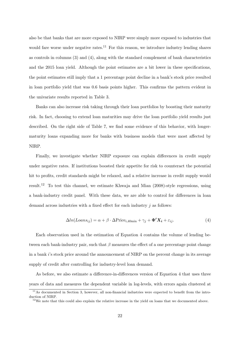also be that banks that are more exposed to NIRP were simply more exposed to industries that would fare worse under negative rates.<sup>11</sup> For this reason, we introduce industry lending shares as controls in columns  $(3)$  and  $(4)$ , along with the standard complement of bank characteristics and the 2015 loan yield. Although the point estimates are a bit lower in these specifications, the point estimates still imply that a 1 percentage point decline in a bank's stock price resulted in loan portfolio yield that was 0.6 basis points higher. This confirms the pattern evident in the univariate results reported in Table 3.

Banks can also increase risk taking through their loan portfolios by boosting their maturity risk. In fact, choosing to extend loan maturities may drive the loan portfolio yield results just described. On the right side of Table 7, we find some evidence of this behavior, with longermaturity loans expanding more for banks with business models that were most affected by NIRP.

Finally, we investigate whether NIRP exposure can explain differences in credit supply under negative rates. If institutions boosted their appetite for risk to counteract the potential hit to profits, credit standards might be relaxed, and a relative increase in credit supply would result.<sup>12</sup> To test this channel, we estimate Khwaja and Mian (2008)-style regressions, using a bank-industry credit panel. With these data, we are able to control for differences in loan demand across industries with a fixed effect for each industry  $j$  as follows:

$$
\Delta ln(Loans_{ij}) = \alpha + \beta \cdot \Delta Price_{i,40\min} + \gamma_j + \Phi'X_i + \varepsilon_{ij}.
$$
\n(4)

Each observation used in the estimation of Equation 4 contains the volume of lending between each bank-industry pair, such that  $\beta$  measures the effect of a one percentage point change in a bank i's stock price around the announcement of NIRP on the percent change in its average supply of credit after controlling for industry-level loan demand.

As before, we also estimate a difference-in-differences version of Equation 4 that uses three years of data and measures the dependent variable in log-levels, with errors again clustered at

<sup>11</sup>As documented in Section 3, however, all non-financial industries were expected to benefit from the introduction of NIRP.

<sup>&</sup>lt;sup>12</sup>We note that this could also explain the relative increase in the yield on loans that we documented above.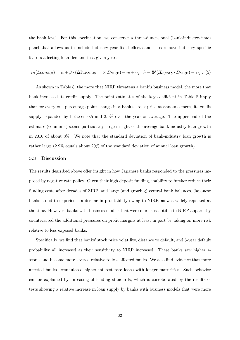the bank level. For this specification, we construct a three-dimensional (bank-industry-time) panel that allows us to include industry-year fixed effects and thus remove industry specific factors affecting loan demand in a given year:

$$
ln(Loans_{ijt}) = \alpha + \beta \cdot (\Delta \text{Price}_{i,40\text{min}} \times D_{\text{NIRP}}) + \eta_i + \gamma_j \cdot \delta_t + \Phi'(X_{i,2015} \cdot D_{\text{NIRP}}) + \varepsilon_{ijt}.
$$
 (5)

As shown in Table 8, the more that NIRP threatens a bank's business model, the more that bank increased its credit supply. The point estimates of the key coefficient in Table 8 imply that for every one percentage point change in a bank's stock price at announcement, its credit supply expanded by between 0.5 and 2.9% over the year on average. The upper end of the estimate (column 4) seems particularly large in light of the average bank-industry loan growth in 2016 of about 3%. We note that the standard deviation of bank-industry loan growth is rather large (2.9% equals about 20% of the standard deviation of annual loan growth).

### 5.3 Discussion

The results described above offer insight in how Japanese banks responded to the pressures imposed by negative rate policy. Given their high deposit funding, inability to further reduce their funding costs after decades of ZIRP, and large (and growing) central bank balances, Japanese banks stood to experience a decline in profitability owing to NIRP, as was widely reported at the time. However, banks with business models that were more susceptible to NIRP apparently counteracted the additional pressures on profit margins at least in part by taking on more risk relative to less exposed banks.

Specifically, we find that banks' stock price volatility, distance to default, and 5-year default probability all increased as their sensitivity to NIRP increased. These banks saw higher zscores and became more levered relative to less affected banks. We also find evidence that more affected banks accumulated higher interest rate loans with longer maturities. Such behavior can be explained by an easing of lending standards, which is corroborated by the results of tests showing a relative increase in loan supply by banks with business models that were more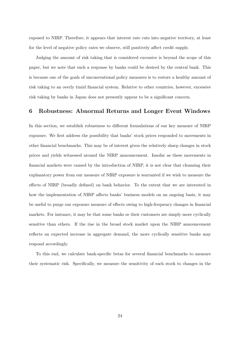exposed to NIRP. Therefore, it appears that interest rate cuts into negative territory, at least for the level of negative policy rates we observe, still positively affect credit supply.

Judging the amount of risk taking that is considered excessive is beyond the scope of this paper, but we note that such a response by banks could be desired by the central bank. This is because one of the goals of unconventional policy measures is to restore a healthy amount of risk taking to an overly timid financial system. Relative to other countries, however, excessive risk taking by banks in Japan does not presently appear to be a significant concern.

## 6 Robustness: Abnormal Returns and Longer Event Windows

In this section, we establish robustness to different formulations of our key measure of NIRP exposure. We first address the possibility that banks' stock prices responded to movements in other financial benchmarks. This may be of interest given the relatively sharp changes in stock prices and yields witnessed around the NIRP announcement. Insofar as these movements in financial markets were caused by the introduction of NIRP, it is not clear that cleansing their explanatory power from our measure of NIRP exposure is warranted if we wish to measure the effects of NIRP (broadly defined) on bank behavior. To the extent that we are interested in how the implementation of NIRP affects banks' business models on an ongoing basis, it may be useful to purge our exposure measure of effects owing to high-frequency changes in financial markets. For instance, it may be that some banks or their customers are simply more cyclically sensitive than others. If the rise in the broad stock market upon the NIRP announcement reflects an expected increase in aggregate demand, the more cyclically sensitive banks may respond accordingly.

To this end, we calculate bank-specific betas for several financial benchmarks to measure their systematic risk. Specifically, we measure the sensitivity of each stock to changes in the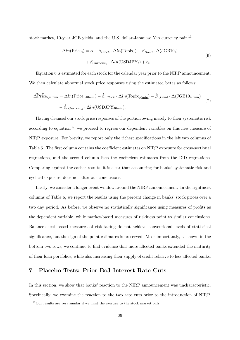stock market, 10-year JGB yields, and the U.S. dollar-Japanese Yen currency pair.<sup>13</sup>

$$
\Delta ln(\text{Price}_t) = \alpha + \beta_{Stock} \cdot \Delta ln(\text{Topic}_t) + \beta_{Bond} \cdot \Delta(\text{JGB10}_t)
$$

$$
+ \beta_{Current} \cdot \Delta ln(\text{USDJPY}_t) + \varepsilon_t
$$
(6)

Equation 6 is estimated for each stock for the calendar year prior to the NIRP announcement. We then calculate abnormal stock price responses using the estimated betas as follows:

$$
\widehat{\Delta \text{Price}}_{i,40\text{min}} = \Delta ln(\text{Price}_{i,40\text{min}}) - \hat{\beta}_{i,Stock} \cdot \Delta ln(\text{Topic}_{40\text{min}}) - \hat{\beta}_{i,Bond} \cdot \Delta(\text{JGB10}_{40\text{min}}) - \hat{\beta}_{i,Current} \cdot \Delta ln(\text{USDJPY}_{40\text{min}}). \tag{7}
$$

Having cleansed our stock price responses of the portion owing merely to their systematic risk according to equation 7, we proceed to regress our dependent variables on this new measure of NIRP exposure. For brevity, we report only the richest specifications in the left two columns of Table 6. The first column contains the coefficient estimates on NIRP exposure for cross-sectional regressions, and the second column lists the coefficient estimates from the DiD regressions. Comparing against the earlier results, it is clear that accounting for banks' systematic risk and cyclical exposure does not alter our conclusions.

Lastly, we consider a longer event window around the NIRP announcement. In the rightmost columns of Table 6, we report the results using the percent change in banks' stock prices over a two day period. As before, we observe no statistically significance using measures of profits as the dependent variable, while market-based measures of riskiness point to similar conclusions. Balance-sheet based measures of risk-taking do not achieve conventional levels of statistical significance, but the sign of the point estimates is preserved. Most importantly, as shown in the bottom two rows, we continue to find evidence that more affected banks extended the maturity of their loan portfolios, while also increasing their supply of credit relative to less affected banks.

## 7 Placebo Tests: Prior BoJ Interest Rate Cuts

In this section, we show that banks' reaction to the NIRP announcement was uncharacteristic. Specifically, we examine the reaction to the two rate cuts prior to the introduction of NIRP.

<sup>13</sup>Our results are very similar if we limit the exercise to the stock market only.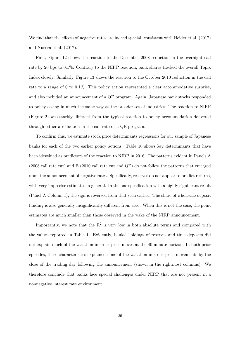We find that the effects of negative rates are indeed special, consistent with Heider et al. (2017) and Nucera et al. (2017).

First, Figure 12 shows the reaction to the December 2008 reduction in the overnight call rate by 20 bps to 0.1%. Contrary to the NIRP reaction, bank shares tracked the overall Topix Index closely. Similarly, Figure 13 shows the reaction to the October 2010 reduction in the call rate to a range of 0 to 0.1%. This policy action represented a clear accommodative surprise, and also included an announcement of a QE program. Again, Japanese bank stocks responded to policy easing in much the same way as the broader set of industries. The reaction to NIRP (Figure 2) was starkly different from the typical reaction to policy accommodation delivered through either a reduction in the call rate or a QE program.

To confirm this, we estimate stock price determinants regressions for our sample of Japanese banks for each of the two earlier policy actions. Table 10 shows key determinants that have been identified as predictors of the reaction to NIRP in 2016. The patterns evident in Panels A (2008 call rate cut) and B (2010 call rate cut and QE) do not follow the patterns that emerged upon the announcement of negative rates. Specifically, reserves do not appear to predict returns, with very imprecise estimates in general. In the one specification with a highly significant result (Panel A Column 1), the sign is reversed from that seen earlier. The share of wholesale deposit funding is also generally insignificantly different from zero. When this is not the case, the point estimates are much smaller than those observed in the wake of the NIRP announcement.

Importantly, we note that the  $R^2$  is very low in both absolute terms and compared with the values reported in Table 1. Evidently, banks' holdings of reserves and time deposits did not explain much of the variation in stock price moves at the 40 minute horizon. In both prior episodes, these characteristics explained none of the variation in stock price movements by the close of the trading day following the announcement (shown in the rightmost columns). We therefore conclude that banks face special challenges under NIRP that are not present in a nonnegative interest rate environment.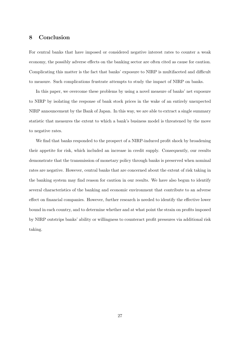## 8 Conclusion

For central banks that have imposed or considered negative interest rates to counter a weak economy, the possibly adverse effects on the banking sector are often cited as cause for caution. Complicating this matter is the fact that banks' exposure to NIRP is multifaceted and difficult to measure. Such complications frustrate attempts to study the impact of NIRP on banks.

In this paper, we overcome these problems by using a novel measure of banks' net exposure to NIRP by isolating the response of bank stock prices in the wake of an entirely unexpected NIRP announcement by the Bank of Japan. In this way, we are able to extract a single summary statistic that measures the extent to which a bank's business model is threatened by the move to negative rates.

We find that banks responded to the prospect of a NIRP-induced profit shock by broadening their appetite for risk, which included an increase in credit supply. Consequently, our results demonstrate that the transmission of monetary policy through banks is preserved when nominal rates are negative. However, central banks that are concerned about the extent of risk taking in the banking system may find reason for caution in our results. We have also begun to identify several characteristics of the banking and economic environment that contribute to an adverse effect on financial companies. However, further research is needed to identify the effective lower bound in each country, and to determine whether and at what point the strain on profits imposed by NIRP outstrips banks' ability or willingness to counteract profit pressures via additional risk taking.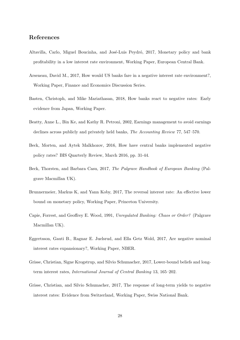## References

- Altavilla, Carlo, Miguel Boucinha, and José-Luis Peydró, 2017, Monetary policy and bank profitability in a low interest rate environment, Working Paper, European Central Bank.
- Arseneau, David M., 2017, How would US banks fare in a negative interest rate environment?, Working Paper, Finance and Economics Discussion Series.
- Basten, Christoph, and Mike Mariathasan, 2018, How banks react to negative rates: Early evidence from Japan, Working Paper.
- Beatty, Anne L., Bin Ke, and Kathy R. Petroni, 2002, Earnings management to avoid earnings declines across publicly and privately held banks, The Accounting Review 77, 547–570.
- Beck, Morten, and Aytek Malkhozov, 2016, How have central banks implemented negative policy rates? BIS Quarterly Review, March 2016, pp. 31-44.
- Beck, Thorsten, and Barbara Casu, 2017, The Palgrave Handbook of European Banking (Palgrave Macmillan UK).
- Brunnermeier, Markus K, and Yann Koby, 2017, The reversal interest rate: An effective lower bound on monetary policy, Working Paper, Princeton University.
- Capie, Forrest, and Geoffrey E. Wood, 1991, Unregulated Banking: Chaos or Order? (Palgrave Macmillan UK).
- Eggertsson, Gauti B., Ragnar E. Juelsrud, and Ella Getz Wold, 2017, Are negative nominal interest rates expansionary?, Working Paper, NBER.
- Grisse, Christian, Signe Krogstrup, and Silvio Schumacher, 2017, Lower-bound beliefs and longterm interest rates, International Journal of Central Banking 13, 165–202.
- Grisse, Christian, and Silvio Schumacher, 2017, The response of long-term yields to negative interest rates: Evidence from Switzerland, Working Paper, Swiss National Bank.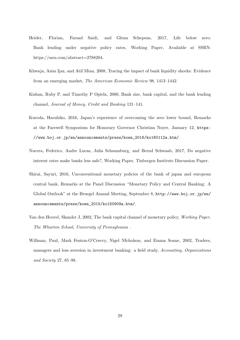- Heider, Florian, Farzad Saidi, and Glenn Schepens, 2017, Life below zero: Bank lending under negative policy rates, Working Paper, Available at SSRN: https://ssrn.com/abstract=2788204.
- Khwaja, Asim Ijaz, and Atif Mian, 2008, Tracing the impact of bank liquidity shocks: Evidence from an emerging market, The American Economic Review 98, 1413–1442.
- Kishan, Ruby P, and Timothy P Opiela, 2000, Bank size, bank capital, and the bank lending channel, Journal of Money, Credit and Banking 121–141.
- Kuroda, Haruhiko, 2016, Japan's experience of overcoming the zero lower bound, Remarks at the Farewell Symposium for Honorary Governor Christian Noyer, January 12, https: //www.boj.or.jp/en/announcements/press/koen\_2016/ko160112a.htm/.
- Nucera, Federico, Andre Lucas, Julia Schaumburg, and Bernd Schwaab, 2017, Do negative interest rates make banks less safe?, Working Paper, Tinbergen Institute Discussion Paper.
- Shirai, Sayuri, 2016, Unconventional monetary policies of the bank of japan and european central bank, Remarks at the Panel Discussion "Monetary Policy and Central Banking: A Global Outlook" at the Bruegel Annual Meeting, September 8, http://www.boj.or.jp/en/ announcements/press/koen\_2015/ko150909a.htm/.
- Van den Heuvel, Skander J, 2002, The bank capital channel of monetary policy, Working Paper, The Wharton School, University of Pennsylvania .
- Willman, Paul, Mark Fenton-O'Creevy, Nigel NIcholson, and Emma Soane, 2002, Traders, managers and loss aversion in investment banking: a field study, Accounting, Organizations and Society 27, 85–98.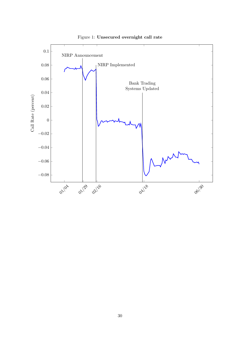

Figure 1: Unsecured overnight call rate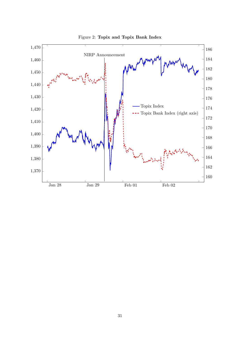

Figure 2: Topix and Topix Bank Index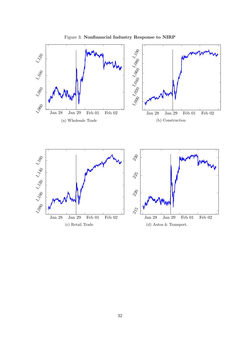

Figure 3: Nonfinancial Industry Response to NIRP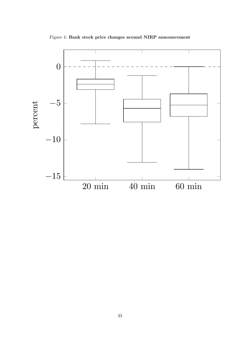

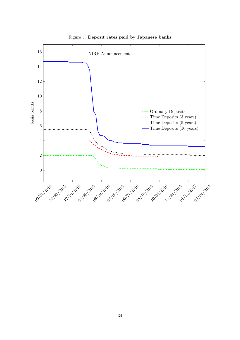

Figure 5: Deposit rates paid by Japanese banks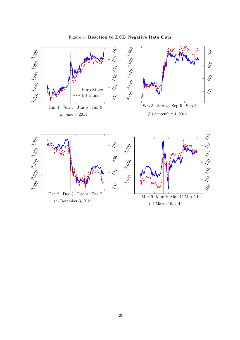

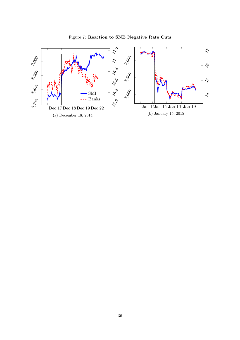

Figure 7: Reaction to SNB Negative Rate Cuts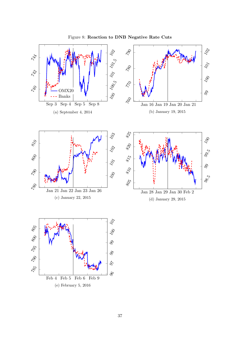

Figure 8: Reaction to DNB Negative Rate Cuts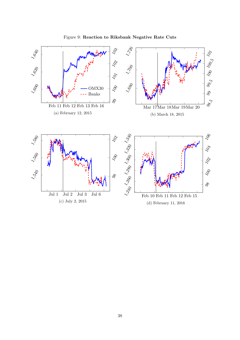

Figure 9: Reaction to Riksbank Negative Rate Cuts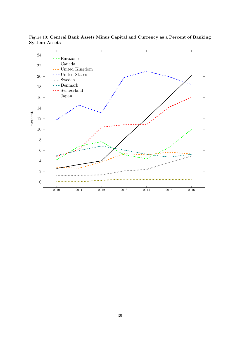

Figure 10: Central Bank Assets Minus Capital and Currency as a Percent of Banking System Assets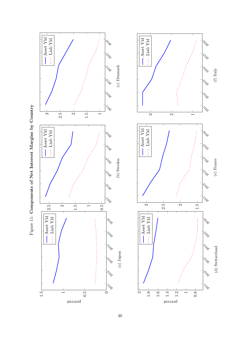



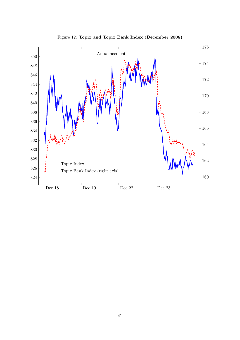

Figure 12: Topix and Topix Bank Index (December 2008)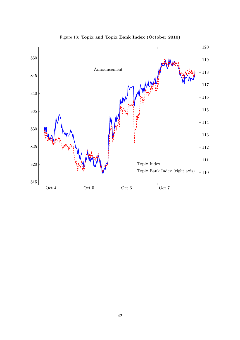

Figure 13: Topix and Topix Bank Index (October 2010)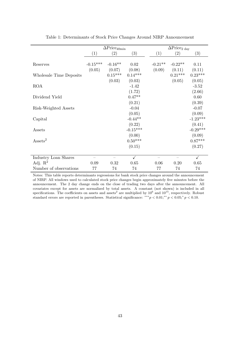|                         |            | $\Delta \text{Price}_{40\text{min}}$ |              |           | $\Delta \text{Price}_{2 \text{ day}}$ |              |
|-------------------------|------------|--------------------------------------|--------------|-----------|---------------------------------------|--------------|
|                         | (1)        | (2)                                  | (3)          | (1)       | (2)                                   | (3)          |
|                         |            |                                      |              |           |                                       |              |
| Reserves                | $-0.15***$ | $-0.16**$                            | 0.02         | $-0.21**$ | $-0.22**$                             | 0.11         |
|                         | (0.05)     | (0.07)                               | (0.08)       | (0.09)    | (0.11)                                | (0.11)       |
| Wholesale Time Deposits |            | $0.15***$                            | $0.14***$    |           | $0.21***$                             | $0.23***$    |
|                         |            | (0.03)                               | (0.03)       |           | (0.05)                                | (0.05)       |
| <b>ROA</b>              |            |                                      | $-1.42$      |           |                                       | $-3.52$      |
|                         |            |                                      | (1.72)       |           |                                       | (2.66)       |
| Dividend Yield          |            |                                      | $0.47**$     |           |                                       | 0.60         |
|                         |            |                                      | (0.21)       |           |                                       | (0.39)       |
| Risk-Weighted Assets    |            |                                      | $-0.04$      |           |                                       | $-0.07$      |
|                         |            |                                      | (0.05)       |           |                                       | (0.09)       |
|                         |            |                                      | $-0.44**$    |           |                                       | $-1.23***$   |
| Capital                 |            |                                      |              |           |                                       |              |
|                         |            |                                      | (0.22)       |           |                                       | (0.41)       |
| Assets                  |            |                                      | $-0.15***$   |           |                                       | $-0.29***$   |
|                         |            |                                      | (0.00)       |           |                                       | (0.09)       |
| $\text{Assets}^2$       |            |                                      | $0.50***$    |           |                                       | $0.87***$    |
|                         |            |                                      | (0.15)       |           |                                       | (0.27)       |
|                         |            |                                      |              |           |                                       |              |
| Industry Loan Shares    |            |                                      | $\checkmark$ |           |                                       | $\checkmark$ |
| Adj. $\mathbb{R}^2$     | 0.09       | 0.32                                 | 0.65         | 0.06      | 0.20                                  | 0.65         |
| Number of observations  | 77         | 74                                   | 74           | 77        | 74                                    | 74           |

Table 1: Determinants of Stock Price Changes Around NIRP Announcement

Notes: This table reports determinants regressions for bank stock price changes around the announcement of NIRP. All windows used to calculated stock price changes begin approximately five minutes before the announcement. The 2 day change ends on the close of trading two days after the announcement. All covariates except for assets are normalized by total assets. A constant (not shown) is included in all specifications. The coefficients on assets and assets<sup>2</sup> are multiplied by  $10^6$  and  $10^{15}$ , respectively. Robust standard errors are reported in parentheses. Statistical significance: \*\*\* $p < 0.01;$ \*\* $p < 0.05;$ \* $p < 0.10$ .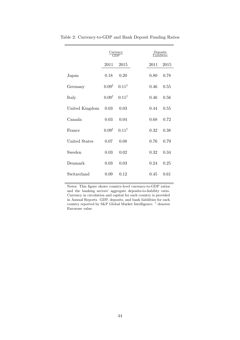|                |                  | $\frac{\text{Current}}{\text{GDP}}$ |      | Deposits<br>Liabilities |
|----------------|------------------|-------------------------------------|------|-------------------------|
|                | 2011             | 2015                                | 2011 | 2015                    |
| Japan          | 0.18             | 0.20                                | 0.80 | 0.78                    |
| Germany        | $0.09^{\dagger}$ | $0.11^{\dagger}$                    | 0.46 | 0.55                    |
| Italy          | $0.09^{\dagger}$ | $0.11^{\dagger}$                    | 0.46 | 0.56                    |
| United Kingdom | 0.03             | 0.03                                | 0.44 | 0.55                    |
| Canada         | 0.03             | 0.04                                | 0.68 | 0.72                    |
| France         | $0.09^{\dagger}$ | $0.11^{\dagger}$                    | 0.32 | 0.38                    |
| United States  | 0.07             | 0.08                                | 0.76 | 0.79                    |
| Sweden         | 0.03             | 0.02                                | 0.32 | 0.34                    |
| Denmark        | 0.03             | 0.03                                | 0.24 | 0.25                    |
| Switzerland    | 0.09             | 0.12                                | 0.45 | 0.61                    |

Table 2: Currency-to-GDP and Bank Deposit Funding Ratios

Notes: This figure shows country-level currency-to-GDP ratios and the banking sectors' aggregate deposits-to-liability ratio. Currency in circulation and capital for each country is provided in Annual Reports. GDP, deposits, and bank liabilities for each country reported by S&P Global Market Intelligence. $^\dagger$  denotes Eurozone value.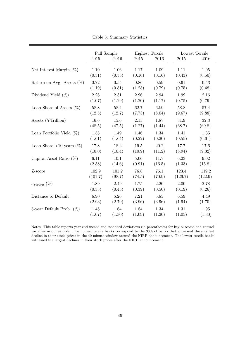|                              | Full Sample |          |        | <b>Highest Tercile</b> |         | Lowest Tercile |
|------------------------------|-------------|----------|--------|------------------------|---------|----------------|
|                              | 2015        | 2016     | 2015   | 2016                   | 2015    | 2016           |
| Net Interest Margin $(\%)$   | 1.10        | 1.06     | 1.17   | 1.09                   | 1.11    | 1.05           |
|                              | (0.31)      | (0.35)   | (0.16) | (0.16)                 | (0.43)  | (0.50)         |
| Return on Avg. Assets $(\%)$ | 0.72        | 0.55     | 0.86   | 0.59                   | 0.61    | 0.43           |
|                              | (1.19)      | (0.81)   | (1.25) | (0.79)                 | (0.75)  | (0.48)         |
| Dividend Yield $(\%)$        | 2.26        | 2.31     | 2.96   | 2.94                   | 1.99    | 2.16           |
|                              | (1.07)      | (1.29)   | (1.20) | (1.17)                 | (0.75)  | (0.79)         |
| Loan Share of Assets $(\%)$  | 58.8        | $58.4\,$ | 62.7   | 62.9                   | 58.8    | 57.4           |
|                              | (12.5)      | (12.7)   | (7.73) | (8.04)                 | (9.67)  | (9.88)         |
| Assets (¥Trillion)           | 16.6        | 15.6     | 2.15   | 1.87                   | 31.9    | 32.3           |
|                              | (48.5)      | (47.5)   | (1.27) | (1.44)                 | (68.7)  | (69.8)         |
| Loan Portfolio Yield $(\%)$  | 1.58        | 1.49     | 1.46   | 1.34                   | 1.41    | $1.35\,$       |
|                              | (1.61)      | (1.64)   | (0.22) | (0.20)                 | (0.55)  | (0.61)         |
| Loan Share >10 years $(\%)$  | 17.8        | 18.2     | 19.5   | 20.2                   | 17.7    | 17.6           |
|                              | (10.0)      | (10.4)   | (10.9) | (11.2)                 | (8.94)  | (9.32)         |
| Capital-Asset Ratio $(\%)$   | 6.11        | 10.1     | 5.06   | 11.7                   | 6.23    | 9.92           |
|                              | (2.58)      | (14.6)   | (0.91) | (16.5)                 | (1.33)  | (15.8)         |
| Z-score                      | 102.9       | 101.2    | 76.8   | 76.1                   | 123.4   | 119.2          |
|                              | (101.7)     | (98.7)   | (74.5) | (70.9)                 | (126.7) | (122.9)        |
| $\sigma_{return} (\%)$       | 1.89        | 2.49     | 1.75   | 2.20                   | 2.00    | 2.78           |
|                              | (0.33)      | (0.45)   | (0.39) | (0.50)                 | (0.19)  | (0.26)         |
| Distance to Default          | 6.90        | 5.26     | 7.21   | 5.83                   | 6.59    | 4.49           |
|                              | (2.93)      | (2.79)   | (3.96) | (3.96)                 | (1.94)  | (1.70)         |
| 5-year Default Prob. $(\%)$  | 1.48        | 1.64     | 1.84   | 1.34                   | 1.31    | 1.95           |
|                              | (1.07)      | (1.30)   | (1.09) | (1.20)                 | (1.05)  | (1.30)         |

Table 3: Summary Statistics

Notes: This table reports year-end means and standard deviations (in parentheses) for key outcome and control variables in our sample. The highest tercile banks correspond to the 33% of banks that witnessed the smallest decline in their stock prices in the 40 minute window around the NIRP announcement. The lowest tercile banks witnessed the largest declines in their stock prices after the NIRP announcement.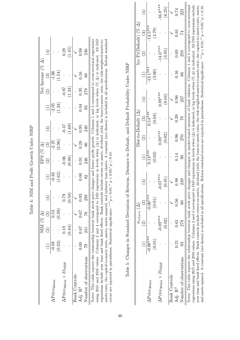|                                                          |           | $NIM ( \% \Delta)$ |               |                     |                                       |                                                                    |                               |                    |                               |                    | Net Income (% $\Delta$ ) |                                            |
|----------------------------------------------------------|-----------|--------------------|---------------|---------------------|---------------------------------------|--------------------------------------------------------------------|-------------------------------|--------------------|-------------------------------|--------------------|--------------------------|--------------------------------------------|
|                                                          |           | $(3)$              |               | $\bigoplus$         |                                       |                                                                    | EPS (% $\Delta$ )<br>(2) (3)  | $\bigoplus$        |                               | $\boxed{2}$        | $\frac{(3)}{1.54}$       |                                            |
| $\Delta \mathrm{Price}_{40\mathrm{min}}$                 | $-0.08$   |                    | 0.53          |                     |                                       | $\overline{\phantom{a}}$                                           |                               |                    |                               |                    |                          |                                            |
|                                                          | (0.33)    |                    | (0.39)        | $\pm 1$             | $\frac{(1)}{0.83}$<br>(1.62)          | $\vert$                                                            | $\frac{(3)}{-2.25}$<br>(2.96) | $\pm 1$            | $\frac{(1)}{-2.05}$<br>(1.34) | $\bar{\Gamma}$     |                          | $\vert$                                    |
| $\Delta \mathrm{Price_{40min}} \times D_{\mathrm{NIRP}}$ |           | 0.18               |               |                     | $\begin{array}{c} \hline \end{array}$ |                                                                    | $\overline{\phantom{a}}$      |                    | $\overline{\phantom{a}}$      |                    | $\bigg\vert$             |                                            |
|                                                          |           | (0.44)             |               | $\frac{0.79}{0.58}$ |                                       | $\frac{-0.06}{(0.98)}$                                             | $\overline{\phantom{a}}$      | $\frac{1}{(1.69)}$ | $\overline{1}$                | $-0.87$<br>(1.24)  | $\mathbf{L}$             | $\frac{(1.45)}{\sqrt{ }}$                  |
| <b>Bank Controls</b>                                     |           |                    |               |                     |                                       | $\begin{array}{c} \begin{array}{c} \hline \end{array} \end{array}$ |                               |                    |                               | $\bar{\mathbb{L}}$ |                          |                                            |
| Adj. R <sup>2</sup>                                      | 0.0000087 |                    | 0.67          | 0.93                | $\frac{0.00}{82}$                     |                                                                    | 0.28                          | 0.95               | $0.04$<br>93                  | $0.95\,$           | 0.16                     | $\begin{array}{c} 0.98 \\ 240 \end{array}$ |
| Number of observations 79                                |           | 241                | $\frac{8}{2}$ | 238                 |                                       | $\frac{0.91}{246}$                                                 | $80\,$                        | 240                |                               | 278                | 80                       |                                            |

Table 4: NIM and Profit Growth Under NIRP Table 4: NIM and Profit Growth Under NIRP

using 2015 and 2016 values. Columns 2 and 4 correspond to DiD regressions in levels when  $(\Delta)$  is indicated, or log levels when  $(\% \Delta)$  is indicated. All DiD Notes: This table reports the 1 and the growth plane profit plane profit profit profit profit profit profit profit profit profit profit profit profit profit profit profit profit profit profit profit profit profit profit pr regressions include year time and bank fixed effects. Bank controls include return on assets, dividend yield, the loan-to-assets ratio, the risk-weighted-assets-toassets ratio, the capital-to-assets ratio, assets, assets squared, and industry loan shares. A constant (not shown) is included in all specifications. Robust standard Notes: This table reports the relationship between bank stock price changes and future profit growth. Columns 1 and 3 correspond to cross-sectional regressions using 2015 and 2016 values. Columns 2 and 4 correspond to DiD regressions in levels when (△) is indicated, or log levels when (% △) is indicated. All DiD regressions include year time and bank fixed effects. Bank controls include return on assets, dividend yield, the loan-to-assets ratio, the risk-weighted-assets-toassets ratio, the capital-to-assets ratio, assets, assets squared, and industry loan shares. A constant (not shown) is included in all specifications. Robust standard errors are reported in parentheses. Statistical significance: \*\*\*  $p < 0.01$ ; \*\*  $p < 0.05$ ; \*  $p < 0.10$ . errors are reported in parentheses. Statistical significance: \*\*\* $p < 0.01$ ;\*\* $p < 0.05$ ;\* $p < 0.10$ .

|           |   | return $\cup$        |                                |                         |                          | $Dist-to-Default (\Delta)$ |                      |                                                                           |                    | $5yr$ Pr<br>(Default) $(\%$ $\Delta)$ |                |
|-----------|---|----------------------|--------------------------------|-------------------------|--------------------------|----------------------------|----------------------|---------------------------------------------------------------------------|--------------------|---------------------------------------|----------------|
|           |   |                      | $\widehat{H}$                  | $\frac{1}{2}$<br>.<br>С | $\widehat{\mathfrak{S}}$ | $\widehat{S}$              | $\frac{4}{\sqrt{2}}$ |                                                                           | $\widehat{\Omega}$ | $\widehat{\mathfrak{S}}$              | $\overline{+}$ |
| $0.06***$ | I | $0.06***$            | $\begin{array}{c} \end{array}$ | $0.13***$               | I                        | $0.14***$                  | I                    | $\frac{(1)}{-13.1***}$                                                    | I                  | $-13.5***$                            | I              |
|           |   | $\ddot{\phantom{0}}$ |                                |                         |                          |                            |                      | $\begin{array}{c}\n\bullet \\ \bullet \\ \bullet \\ \bullet\n\end{array}$ |                    |                                       |                |

(0.01) – (0.01) – (0.03) – (0.04) – (3.60) – (4.79) –

 $(0.03)$ 

 $(0.01)$ 

 $(0.01)$ 

 $(0.04)$ 

 $-16.8***$ 

 $-14.6***$  $(3.95)$ 

 $0.09***$  $(0.04)$ 

 $(62.4)$ 

 $(3.60)$ 

 $\left( 4\right)$ 

 $(6.25)$ 

 $0.74$ 

 $0.61$ 

0.69

0.16

0.96

0.39

0.96

∆Price40min × DNIRP – -0.09\*\*\* – -0.07\*\*\* – 0.09\*\*\* – 0.09\*\*\* – -14.6\*\*\* – -16.8\*\*\*

 $-0.07***$  $(0.01)$ 

 $-0.09***$  $(0.02)$ 

 $\Delta \mathrm{Price_{40min}} \times D_{\mathrm{NIRP}}$ 

Bank Controls

Adj. R<sup>2</sup>

 $0.09***$  $(0.02)$  Bank Controls – – X X – – X X – – X X Adj. R<sup>2</sup> 0.21 0.51 0.56 0.88 0.88 0.96 0.96 0.96 0.96 0.96 0.96 0.16 0.69 0.61 0.74

 $0.14$ 

 $0.88$ 

 $0.56$ 

 $0.61\,$ 

 $0.21$ 

–  $(0.02)$  –  $(0.01)$  –  $(0.02)$  –  $(0.04)$  –  $(3.95)$  –  $(6.25)$ 

| $\begin{array}{c}\n\bullet \\ \bullet \\ \bullet\n\end{array}$<br>$\frac{1}{1}$                               |
|---------------------------------------------------------------------------------------------------------------|
| $\ddot{\phantom{a}}$<br>,<br>;                                                                                |
| ֚֚֬<br>$\begin{array}{c} \hline \end{array}$<br>$\frac{1}{2}$                                                 |
| $\ddot{\phantom{a}}$<br>$\frac{1}{4}$                                                                         |
| ≀<br>;<br>;                                                                                                   |
| - contest - contest - conte<br>i<br>Si<br>$\frac{1}{2}$<br>I<br>)<br>)                                        |
| i<br>ļ                                                                                                        |
| ļ<br>l                                                                                                        |
| くこく<br>֧ׅ֧ׅ֧ׅ֧֧֧֧֧֧֧֧֧֧֧֧֧֧֧֧֧֚֚֚֚֚֚֚֚֚֚֚֚֚֚֚֚֚֚֚֚֚֚֚֚֚֚֚֡֝֝֝֝֓֝֓֝֓֝֬֝֓֝֬֝֬֝֬֝֝֬֝֬֝֬֝֬֝֬                      |
| $\ddot{\phantom{a}}$<br>֦֦֦֦֦֦֦֦֦֦֖֖֚֚֚֚֡֕֝֝֝֝֝֝֝֝֝֝֟֜֝֓֝<br>֧֧֧ׅ֧֪֪֪֪֪֪֪֪֪֪֪֪֪֪ׅ֦֚֚֚֚֚֚֚֚֚֚֚֚֚֚֚֚֚֚֚֚֚֚֜֝֜֝֟ |
| į<br>Ï<br>j<br>֖֖֖֖ׅׅ֪ׅ֚֚֚֚֚֚֚֚֚֚֚֚֚֚֚֚֚֚֚֚֚֚֚֚֚֚֚֬֝֝֡֡֓֞<br>j<br>)<br>i<br>l<br>i<br>i                       |
| ١<br>I<br>j<br>1                                                                                              |

regressions using 2015 and 2016 values. Columns 2 and 4 correspond to DiD regressions in levels when  $(\Delta)$  is indicated, or log levels when  $(\% \Delta)$  is indicated. All DiD regressions include Notes: This table reports the relationship between bank stock price changes and changes in market-based measures of bank riskiness. Columns 1 and 3 correspond to cross-sectional year time and bank fixed effects. Bank controls include return on assets, dividend yield, the loan-to-assets ratio, the risk-weighted-assets-to-assets ratio, the capital-to-assets ratio, assets, and assets squared. A constant (not shown) is included in all specifications. Robust standard errors are reported in parentheses. Statistical significance: \*\*\*  $p < 0.01$ ; \*\*  $p < 0.16$ ; \*  $p < 0.10$ . Notes: This table reports the relationship between bank stock price changes and changes in market-based measures of bank riskiness. Columns 1 and 3 correspond to cross-sectional regressions using 2015 and 2016 values. Columns 2 and 4 correspond to DiD regressions in levels when (∆) is indicated, or log levels when (% ∆) is indicated. All DiD regressions include year time and bank fixed effects. Bank controls include return on assets, dividend yield, the loan-to-assets ratio, the risk-weighted-assets-to-assets ratio, the capital-to-assets ratio, assets, ratio, assets and assets squared. A constant (not shown) is included in all specifications. Robust standard errors are reported in parentheses. Statistical significance: \*\*\*p < 0.01;\*\* p < 0.05;\* p < 0.10. 223 Number of observations 93 278 80 239 90 270 79 237 86 259 74 223  $\overline{74}$ 259 86 237  $62$ 270  $\overline{6}$ 239 80 278 93 Number of observations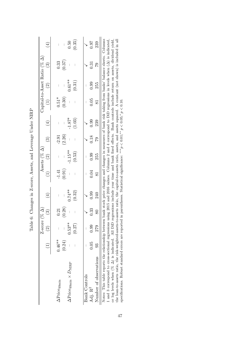|                                                                                                                                                                        |           | Z-score<br>$\widehat{\mathfrak{S}}$ | $(\% \Delta)$<br>ၹ | $\widehat{4}$                                                                         |                      | Assets (% $\Delta$ )<br>$\widehat{\mathfrak{O}}$ | స్      | $\hat{\pm}$ | $\widehat{\Xi}$      | $\widehat{\mathfrak{D}}$ | Capital-to-Asset Ratio $(% \Delta)$<br>$\widehat{\mathbb{C}}$ | $\hat{\pm}$                           |
|------------------------------------------------------------------------------------------------------------------------------------------------------------------------|-----------|-------------------------------------|--------------------|---------------------------------------------------------------------------------------|----------------------|--------------------------------------------------|---------|-------------|----------------------|--------------------------|---------------------------------------------------------------|---------------------------------------|
| $\Delta \mathrm{Price}_{40\mathrm{min}}$                                                                                                                               | $0.46***$ |                                     | 0.21               |                                                                                       | $-1.41$              | I                                                | $-2.91$ |             | $0.51*$              |                          | 0.33                                                          | $\overline{\phantom{a}}$              |
|                                                                                                                                                                        | (0.24)    |                                     | (0.28)             |                                                                                       | (0.91)               | I                                                | (2.26)  |             | (0.30)               |                          | (0.37)                                                        | $\begin{array}{c} \hline \end{array}$ |
| $\Delta \text{Price}_{40\text{min}} \times D_{\text{NIRP}}$                                                                                                            |           | $0.53**$                            |                    | $0.74**$                                                                              |                      | $-1.15**$                                        |         | $-1.87*$    |                      | $0.61**$                 |                                                               | 0.50                                  |
|                                                                                                                                                                        |           | (0.27)                              |                    | (0.32)                                                                                |                      | (0.53)                                           |         | (1.03)      |                      | (0.31)                   |                                                               | (0.35)                                |
|                                                                                                                                                                        |           |                                     |                    |                                                                                       |                      |                                                  |         |             |                      |                          |                                                               |                                       |
| <b>Bank Controls</b>                                                                                                                                                   |           |                                     |                    |                                                                                       |                      |                                                  |         |             |                      |                          |                                                               |                                       |
| Adj. R <sup>2</sup>                                                                                                                                                    | 0.05      | 0.99                                | 0.33               | 0.99                                                                                  | 0.04                 | 0.99                                             | 0.18    | 0.99        | 0.05                 | 0.99                     | 0.31                                                          | <b>16:0</b>                           |
| Number of observations                                                                                                                                                 | 33        | 279                                 | $80\,$             | 240                                                                                   | $\overline{\text{}}$ | 255                                              | 82      | 239         | $\overline{\text{}}$ | 255                      | 62                                                            | 239                                   |
| Notes: This table reports the relationship between bank stock price changes and changes in measures of bank risk taking from banks' balance sheets. Columns            |           |                                     |                    |                                                                                       |                      |                                                  |         |             |                      |                          |                                                               |                                       |
| and 3 correspond to cross-sectional regressions using 2015 and 2016 values. Columns 2 and 4 correspond to DiD regressions in levels when $(\Delta)$ is indicated,      |           |                                     |                    |                                                                                       |                      |                                                  |         |             |                      |                          |                                                               |                                       |
| or log levels when $(\% \Delta)$ is indicated. All DiD regressions include year time and bank fixed effects. Bank controls include return on assets, dividend yield,   |           |                                     |                    |                                                                                       |                      |                                                  |         |             |                      |                          |                                                               |                                       |
| the loan-to-assets ratio, the risk-weighted-assets-to-assets ratio, the capital-to-assets ratio, assets, and assets squared. A constant (not shown) is included in all |           |                                     |                    |                                                                                       |                      |                                                  |         |             |                      |                          |                                                               |                                       |
| specifications. Robust standard errors are reported                                                                                                                    |           |                                     |                    | in parentheses. Statistical significance: *** $p < 0.01$ , ** $p < 0.05$ , $p < 0.10$ |                      |                                                  |         |             |                      |                          |                                                               |                                       |

| ı                                                   |
|-----------------------------------------------------|
| ı                                                   |
| くく くうじょう<br>١                                       |
| c<br>Sp<br>i                                        |
| $C + C$<br>$\frac{1}{2}$                            |
| $\frac{1}{2}$<br>COCO CO<br>֦<br>ľ<br>$\frac{1}{2}$ |
| $\mathbf{i}$<br>こくさい へい<br>į<br>ۯٙ                  |
| ļ                                                   |

specifications. Robust standard errors are reported in parentheses. Statistical significance: \*\*\* $p < 0.01$ ;\*\* $p < 0.05$ ;\* $p < 0.10$ .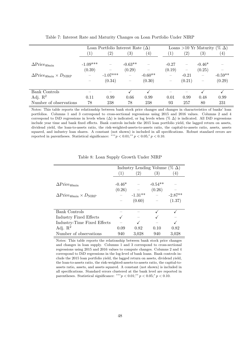|                                                             |                  | Loan Portfolio Interest Rate $(\Delta)$ |                   |                  |                          |                          | Loans >10 Yr Maturity (% $\Delta$ ) |                  |
|-------------------------------------------------------------|------------------|-----------------------------------------|-------------------|------------------|--------------------------|--------------------------|-------------------------------------|------------------|
|                                                             | $\left[1\right]$ | $^{\prime}2)$                           | $\left( 3\right)$ | $\left(4\right)$ | $\left(1\right)$         | $\left( 2\right)$        | $\left(3\right)$                    | $\left(4\right)$ |
|                                                             |                  |                                         |                   |                  |                          |                          |                                     |                  |
| $\Delta \text{Price}_{40\text{min}}$                        | $-1.09***$       |                                         | $-0.63**$         |                  | $-0.27$                  | $\overline{\phantom{0}}$ | $-0.46*$                            |                  |
|                                                             | (0.39)           |                                         | (0.29)            |                  | (0.19)                   | $\overline{\phantom{m}}$ | (0.25)                              |                  |
| $\Delta \text{Price}_{40\text{min}} \times D_{\text{NIRP}}$ |                  | $-1.07***$                              |                   | $-0.60**$        | $\overline{\phantom{m}}$ | $-0.21$                  |                                     | $-0.59**$        |
|                                                             |                  | (0.34)                                  |                   | (0.30)           | $\overline{\phantom{m}}$ | (0.21)                   | $\qquad \qquad -$                   | (0.29)           |
|                                                             |                  |                                         |                   |                  |                          |                          |                                     |                  |
| Bank Controls                                               |                  |                                         |                   |                  |                          |                          |                                     |                  |
| Adj. $\mathbb{R}^2$                                         | 0.11             | 0.99                                    | 0.66              | 0.99             | 0.01                     | 0.99                     | 0.48                                | 0.99             |
| Number of observations                                      | 78               | 238                                     | 78                | 238              | 93                       | 257                      | 80                                  | 231              |

Table 7: Interest Rate and Maturity Changes on Loan Portfolio Under NIRP

Notes: This table reports the relationship between bank stock price changes and changes in characteristics of banks' loan portfolios. Columns 1 and 3 correspond to cross-sectional regressions using 2015 and 2016 values. Columns 2 and 4 correspond to DiD regressions in levels when  $(\Delta)$  is indicated, or log levels when  $(\% \Delta)$  is indicated. All DiD regressions include year time and bank fixed effects. Bank controls include the 2015 loan portfolio yield, the lagged return on assets, dividend yield, the loan-to-assets ratio, the risk-weighted-assets-to-assets ratio, the capital-to-assets ratio, assets, assets squared, and industry loan shares. A constant (not shown) is included in all specifications. Robust standard errors are reported in parentheses. Statistical significance: \*\*\* $p < 0.01$ ;\*\* $p < 0.05$ ;\* $p < 0.10$ .

|                                                             |          | Industry Lending Volume ( $\% \Delta$ ) |           |           |
|-------------------------------------------------------------|----------|-----------------------------------------|-----------|-----------|
|                                                             | (1)      | $\left( 2\right)$                       | (3)       | 4)        |
|                                                             |          |                                         |           |           |
| $\Delta \text{Price}_{40\text{min}}$                        | $-0.46*$ |                                         | $-0.54**$ |           |
|                                                             | (0.26)   |                                         | (0.26)    |           |
| $\Delta \text{Price}_{40\text{min}} \times D_{\text{NIRP}}$ |          | $-1.31**$                               |           | $-2.87**$ |
|                                                             |          | (0.60)                                  |           | (1.37)    |
|                                                             |          |                                         |           |           |
| <b>Bank Controls</b>                                        |          |                                         |           |           |
| Industry Fixed Effects                                      |          |                                         |           |           |
| Industry-Time Fixed Effects                                 |          |                                         |           |           |
| Adj. $\mathbb{R}^2$                                         | 0.09     | 0.82                                    | 0.10      | 0.82      |
| Number of observations                                      | 940      | 3,028                                   | 940       | 3,028     |

Table 8: Loan Supply Growth Under NIRP

Notes: This table reports the relationship between bank stock price changes and changes in loan supply. Columns 1 and 3 correspond to cross-sectional regressions using 2015 and 2016 values to compute changes. Columns 2 and 4 correspond to DiD regressions in the log-level of bank loans. Bank controls include the 2015 loan portfolio yield, the lagged return on assets, dividend yield, the loan-to-assets ratio, the risk-weighted-assets-to-assets ratio, the capital-toassets ratio, assets, and assets squared. A constant (not shown) is included in all specifications. Standard errors clustered at the bank level are reported in parentheses. Statistical significance: \*\*\* $p < 0.01$ ;\*\* $p < 0.05$ ;\* $p < 0.10$ .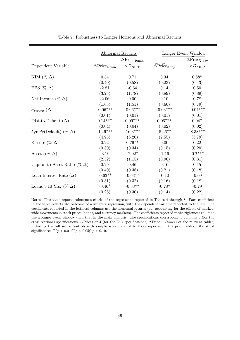| Abnormal Returns                     |                                      |                       | Longer Event Window                       |                                                   |  |  |
|--------------------------------------|--------------------------------------|-----------------------|-------------------------------------------|---------------------------------------------------|--|--|
|                                      | $\Delta \text{Price}_{40\text{min}}$ |                       |                                           | $\widehat{\Delta} \mathrm{Price}_{2 \text{ day}}$ |  |  |
| Dependent Variable:                  | $\Delta \text{Price}_{40\text{min}}$ | $\times D_{\rm NIRP}$ | $\widehat{\Delta}$ Price <sub>2 day</sub> | $\times D_{\rm NIRP}$                             |  |  |
| NIM (% $\Delta$ )                    | 0.54                                 | 0.71                  | 0.34                                      | $0.88*$                                           |  |  |
|                                      | (0.40)                               | (0.58)                | (0.23)                                    | (0.43)                                            |  |  |
| EPS (% $\Delta$ )                    | $-2.81$                              | $-0.64$               | $0.14\,$                                  | $0.50\,$                                          |  |  |
|                                      | (3.25)                               | (1.78)                | (0.89)                                    | (0.89)                                            |  |  |
| Net Income (% $\Delta$ )             | $-2.06$                              | 0.00                  | 0.10                                      | 0.78                                              |  |  |
|                                      | (1.65)                               | (1.51)                | (0.60)                                    | (0.79)                                            |  |  |
| $\sigma_{return}(\Delta)$            | $-0.06***$                           | $-0.06***$            | $-0.03***$                                | $-0.04***$                                        |  |  |
|                                      | (0.01)                               | (0.01)                | (0.01)                                    | (0.01)                                            |  |  |
| Dist-to-Default $(\Delta)$           | $0.14***$                            | $0.09***$             | $0.06***$                                 | $0.04*$                                           |  |  |
|                                      | (0.04)                               | (0.04)                | (0.02)                                    | (0.02)                                            |  |  |
| 5yr Pr(Default) (% $\Delta$ )        | $-12.9***$                           | $-16.3***$            | $-5.26**$                                 | $-8.38***$                                        |  |  |
|                                      | (4.95)                               | (6.26)                | (2.55)                                    | (3.79)                                            |  |  |
| Z-score (% $\Delta$ )                | 0.22                                 | $0.79**$              | 0.00                                      | 0.22                                              |  |  |
|                                      | (0.30)                               | (0.34)                | (0.15)                                    | (0.20)                                            |  |  |
| Assets (% $\Delta$ )                 | $-3.19$                              | $-2.02*$              | $-1.16$                                   | $-0.75**$                                         |  |  |
|                                      | (2.52)                               | (1.15)                | (0.96)                                    | (0.31)                                            |  |  |
| Capital-to-Asset Ratio (% $\Delta$ ) | 0.29                                 | 0.46                  | 0.16                                      | 0.15                                              |  |  |
|                                      | (0.40)                               | (0.38)                | (0.21)                                    | (0.18)                                            |  |  |
| Loan Interest Rate $(\Delta)$        | $-0.63**$                            | $-0.63**$             | $-0.10$                                   | $-0.09$                                           |  |  |
|                                      | (0.31)                               | (0.32)                | (0.16)                                    | (0.18)                                            |  |  |
| Loans >10 Yrs. (% $\Delta$ )         | $-0.46*$                             | $-0.58**$             | $-0.28*$                                  | $-0.29$                                           |  |  |
|                                      | (0.26)                               | (0.30)                | (0.14)                                    | (0.22)                                            |  |  |

Table 9: Robustness to Longer Horizons and Abnormal Returns

Notes: This table reports robustness checks of the regressions reported in Tables 4 through 8. Each coefficient in the table reflects the outcome of a separate regression, with the dependent variable reported to the left. The coefficients reported in the leftmost columns use the abnormal returns (i.e. accounting for the effects of marketwide movements in stock prices, bonds, and currency markets). The coefficients reported in the rightmost columns use a longer event window than that in the main analysis. The specifications correspond to columns 3 (for the cross sectional specifications,  $\Delta$ Price) or 4 (for the DiD specifications,  $\Delta$ Price ×  $D_{\text{NIRP}}$ ) of the relevant tables, including the full set of controls with sample sizes identical to those reported in the prior tables. Statistical significance: \*\*\* $p < 0.01;$ \*\* $p < 0.05;$ \* $p < 0.10$ .